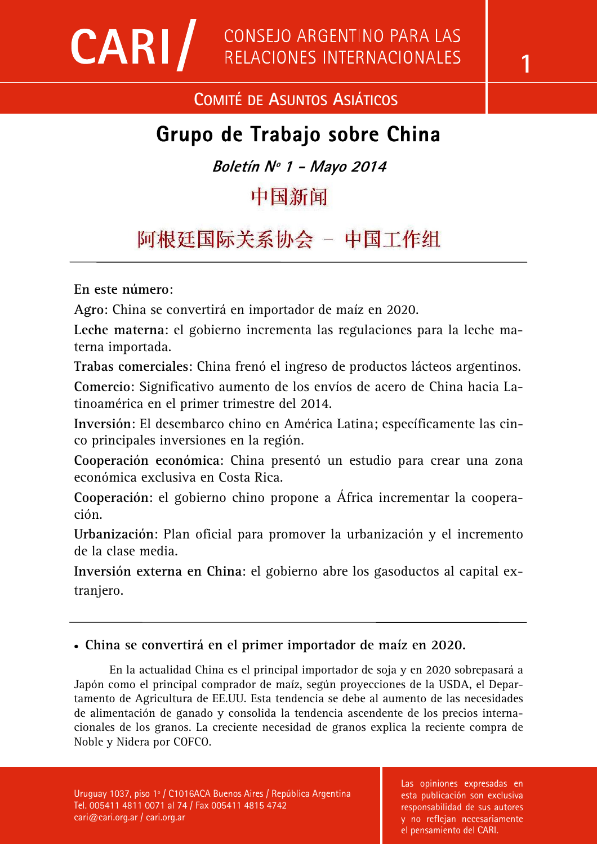# **COMITÉ DE ASUNTOS ASIÁTICOS**

# **Grupo de Trabajo sobre China**

**Boletín Nº 1 - Mayo 2014** 

中国新闻

阿根廷国际关系协会 - 中国工作组

**En este número**:

**Agro**: China se convertirá en importador de maíz en 2020.

**Leche materna**: el gobierno incrementa las regulaciones para la leche materna importada.

**Trabas comerciales**: China frenó el ingreso de productos lácteos argentinos.

**Comercio**: Significativo aumento de los envíos de acero de China hacia Latinoamérica en el primer trimestre del 2014.

**Inversión**: El desembarco chino en América Latina; específicamente las cinco principales inversiones en la región.

**Cooperación económica**: China presentó un estudio para crear una zona económica exclusiva en Costa Rica.

**Cooperación**: el gobierno chino propone a África incrementar la cooperación.

**Urbanización**: Plan oficial para promover la urbanización y el incremento de la clase media.

**Inversión externa en China**: el gobierno abre los gasoductos al capital extranjero.

## • **China se convertirá en el primer importador de maíz en 2020.**

En la actualidad China es el principal importador de soja y en 2020 sobrepasará a Japón como el principal comprador de maíz, según proyecciones de la USDA, el Departamento de Agricultura de EE.UU. Esta tendencia se debe al aumento de las necesidades de alimentación de ganado y consolida la tendencia ascendente de los precios internacionales de los granos. La creciente necesidad de granos explica la reciente compra de Noble y Nidera por COFCO.

Las opiniones expresadas en esta publicación son exclusiva responsabilidad de sus autores y no reflejan necesariamente el pensamiento del CARI.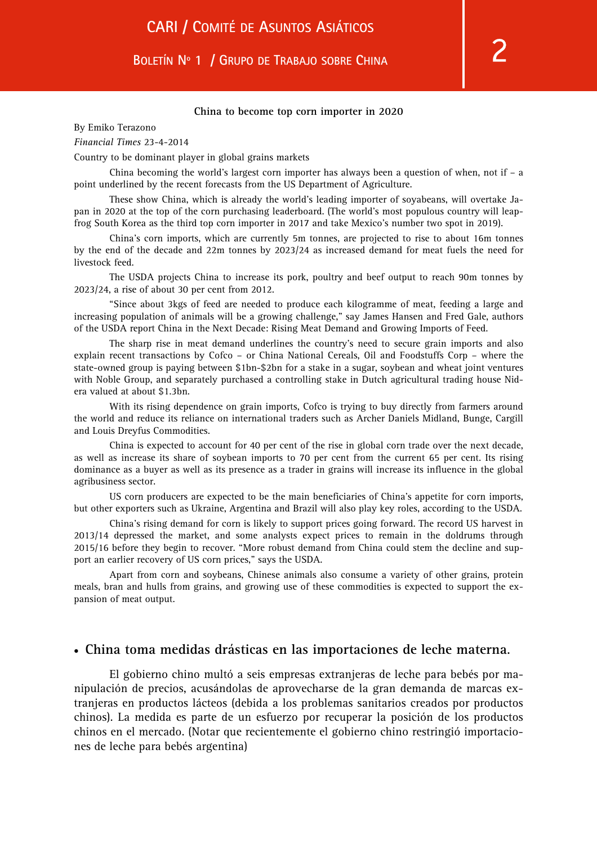#### **China to become top corn importer in 2020**

#### By Emiko Terazono

*Financial Times* 23-4-2014

Country to be dominant player in global grains markets

China becoming the world's largest corn importer has always been a question of when, not if  $-$  a point underlined by the recent forecasts from the US Department of Agriculture.

These show China, which is already the world's leading importer of soyabeans, will overtake Japan in 2020 at the top of the corn purchasing leaderboard. (The world's most populous country will leapfrog South Korea as the third top corn importer in 2017 and take Mexico's number two spot in 2019).

China's corn imports, which are currently 5m tonnes, are projected to rise to about 16m tonnes by the end of the decade and 22m tonnes by 2023/24 as increased demand for meat fuels the need for livestock feed.

The USDA projects China to increase its pork, poultry and beef output to reach 90m tonnes by 2023/24, a rise of about 30 per cent from 2012.

"Since about 3kgs of feed are needed to produce each kilogramme of meat, feeding a large and increasing population of animals will be a growing challenge," say James Hansen and Fred Gale, authors of the USDA report China in the Next Decade: Rising Meat Demand and Growing Imports of Feed.

The sharp rise in meat demand underlines the country's need to secure grain imports and also explain recent transactions by Cofco – or China National Cereals, Oil and Foodstuffs Corp – where the state-owned group is paying between \$1bn-\$2bn for a stake in a sugar, soybean and wheat joint ventures with Noble Group, and separately purchased a controlling stake in Dutch agricultural trading house Nidera valued at about \$1.3bn.

With its rising dependence on grain imports, Cofco is trying to buy directly from farmers around the world and reduce its reliance on international traders such as Archer Daniels Midland, Bunge, Cargill and Louis Dreyfus Commodities.

China is expected to account for 40 per cent of the rise in global corn trade over the next decade, as well as increase its share of soybean imports to 70 per cent from the current 65 per cent. Its rising dominance as a buyer as well as its presence as a trader in grains will increase its influence in the global agribusiness sector.

US corn producers are expected to be the main beneficiaries of China's appetite for corn imports, but other exporters such as Ukraine, Argentina and Brazil will also play key roles, according to the USDA.

China's rising demand for corn is likely to support prices going forward. The record US harvest in 2013/14 depressed the market, and some analysts expect prices to remain in the doldrums through 2015/16 before they begin to recover. "More robust demand from China could stem the decline and support an earlier recovery of US corn prices," says the USDA.

Apart from corn and soybeans, Chinese animals also consume a variety of other grains, protein meals, bran and hulls from grains, and growing use of these commodities is expected to support the expansion of meat output.

#### • **China toma medidas drásticas en las importaciones de leche materna**.

El gobierno chino multó a seis empresas extranjeras de leche para bebés por manipulación de precios, acusándolas de aprovecharse de la gran demanda de marcas extranjeras en productos lácteos (debida a los problemas sanitarios creados por productos chinos). La medida es parte de un esfuerzo por recuperar la posición de los productos chinos en el mercado. (Notar que recientemente el gobierno chino restringió importaciones de leche para bebés argentina)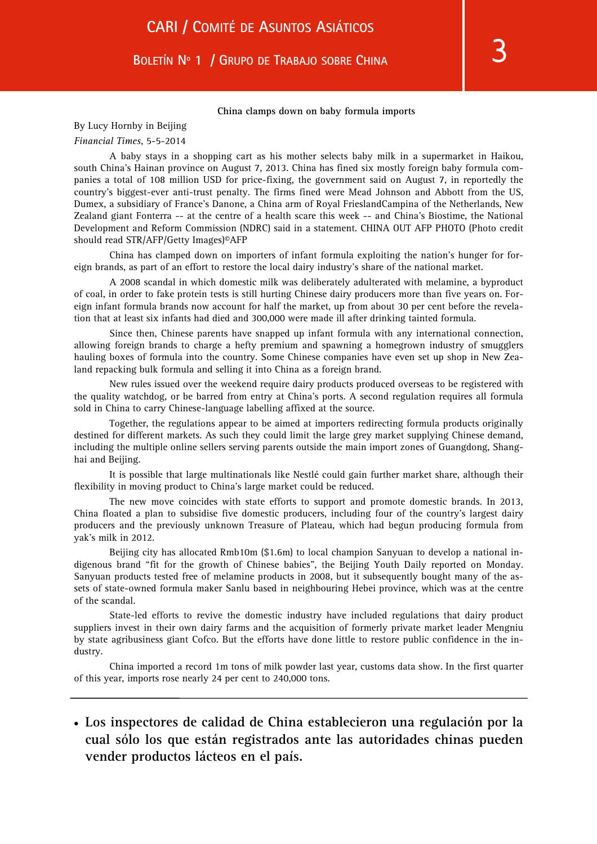#### **China clamps down on baby formula imports**

By Lucy Hornby in Beijing *Financial Times*, 5-5-2014

A baby stays in a shopping cart as his mother selects baby milk in a supermarket in Haikou, south China's Hainan province on August 7, 2013. China has fined six mostly foreign baby formula companies a total of 108 million USD for price-fixing, the government said on August 7, in reportedly the country's biggest-ever anti-trust penalty. The firms fined were Mead Johnson and Abbott from the US, Dumex, a subsidiary of France's Danone, a China arm of Royal FrieslandCampina of the Netherlands, New Zealand giant Fonterra -- at the centre of a health scare this week -- and China's Biostime, the National Development and Reform Commission (NDRC) said in a statement. CHINA OUT AFP PHOTO (Photo credit should read STR/AFP/Getty Images)©AFP

China has clamped down on importers of infant formula exploiting the nation's hunger for foreign brands, as part of an effort to restore the local dairy industry's share of the national market.

A 2008 scandal in which domestic milk was deliberately adulterated with melamine, a byproduct of coal, in order to fake protein tests is still hurting Chinese dairy producers more than five years on. Foreign infant formula brands now account for half the market, up from about 30 per cent before the revelation that at least six infants had died and 300,000 were made ill after drinking tainted formula.

Since then, Chinese parents have snapped up infant formula with any international connection, allowing foreign brands to charge a hefty premium and spawning a homegrown industry of smugglers hauling boxes of formula into the country. Some Chinese companies have even set up shop in New Zealand repacking bulk formula and selling it into China as a foreign brand.

New rules issued over the weekend require dairy products produced overseas to be registered with the quality watchdog, or be barred from entry at China's ports. A second regulation requires all formula sold in China to carry Chinese-language labelling affixed at the source.

Together, the regulations appear to be aimed at importers redirecting formula products originally destined for different markets. As such they could limit the large grey market supplying Chinese demand, including the multiple online sellers serving parents outside the main import zones of Guangdong, Shanghai and Beijing.

It is possible that large multinationals like Nestlé could gain further market share, although their flexibility in moving product to China's large market could be reduced.

The new move coincides with state efforts to support and promote domestic brands. In 2013, China floated a plan to subsidise five domestic producers, including four of the country's largest dairy producers and the previously unknown Treasure of Plateau, which had begun producing formula from yak's milk in 2012.

Beijing city has allocated Rmb10m (\$1.6m) to local champion Sanyuan to develop a national indigenous brand "fit for the growth of Chinese babies", the Beijing Youth Daily reported on Monday. Sanyuan products tested free of melamine products in 2008, but it subsequently bought many of the assets of state-owned formula maker Sanlu based in neighbouring Hebei province, which was at the centre of the scandal.

State-led efforts to revive the domestic industry have included regulations that dairy product suppliers invest in their own dairy farms and the acquisition of formerly private market leader Mengniu by state agribusiness giant Cofco. But the efforts have done little to restore public confidence in the industry.

China imported a record 1m tons of milk powder last year, customs data show. In the first quarter of this year, imports rose nearly 24 per cent to 240,000 tons.

• **Los inspectores de calidad de China establecieron una regulación por la cual sólo los que están registrados ante las autoridades chinas pueden vender productos lácteos en el país.**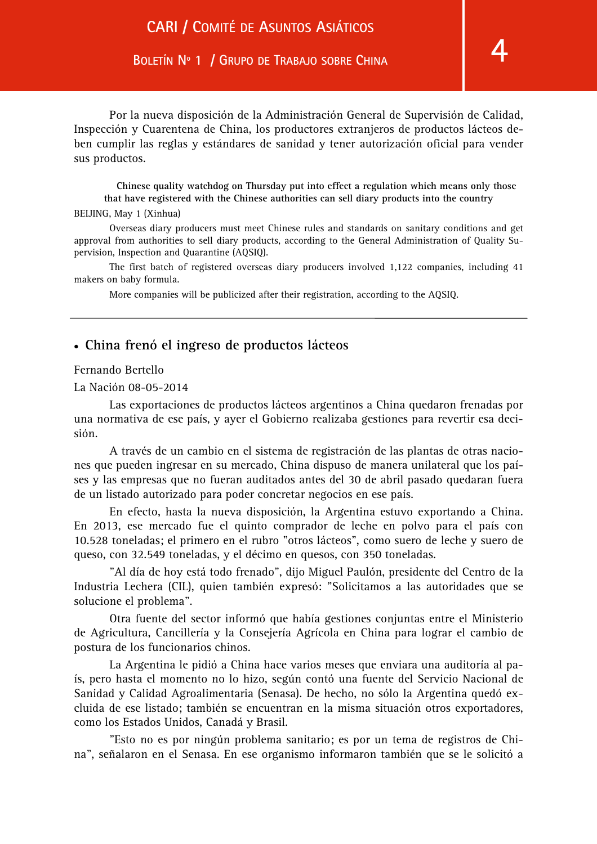## **CARI / COMITÉ DE ASUNTOS ASIÁTICOS**

## **BOLETÍN Nº 1 / GRUPO DE TRABAJO SOBRE CHINA**

Por la nueva disposición de la Administración General de Supervisión de Calidad, Inspección y Cuarentena de China, los productores extranjeros de productos lácteos deben cumplir las reglas y estándares de sanidad y tener autorización oficial para vender sus productos.

**Chinese quality watchdog on Thursday put into effect a regulation which means only those that have registered with the Chinese authorities can sell diary products into the country** 

#### BEIJING, May 1 (Xinhua)

Overseas diary producers must meet Chinese rules and standards on sanitary conditions and get approval from authorities to sell diary products, according to the General Administration of Quality Supervision, Inspection and Quarantine (AQSIQ).

The first batch of registered overseas diary producers involved 1,122 companies, including 41 makers on baby formula.

More companies will be publicized after their registration, according to the AQSIQ.

#### • **China frenó el ingreso de productos lácteos**

#### Fernando Bertello

La Nación 08-05-2014

Las exportaciones de productos lácteos argentinos a China quedaron frenadas por una normativa de ese país, y ayer el Gobierno realizaba gestiones para revertir esa decisión.

A través de un cambio en el sistema de registración de las plantas de otras naciones que pueden ingresar en su mercado, China dispuso de manera unilateral que los países y las empresas que no fueran auditados antes del 30 de abril pasado quedaran fuera de un listado autorizado para poder concretar negocios en ese país.

En efecto, hasta la nueva disposición, la Argentina estuvo exportando a China. En 2013, ese mercado fue el quinto comprador de leche en polvo para el país con 10.528 toneladas; el primero en el rubro "otros lácteos", como suero de leche y suero de queso, con 32.549 toneladas, y el décimo en quesos, con 350 toneladas.

"Al día de hoy está todo frenado", dijo Miguel Paulón, presidente del Centro de la Industria Lechera (CIL), quien también expresó: "Solicitamos a las autoridades que se solucione el problema".

Otra fuente del sector informó que había gestiones conjuntas entre el Ministerio de Agricultura, Cancillería y la Consejería Agrícola en China para lograr el cambio de postura de los funcionarios chinos.

La Argentina le pidió a China hace varios meses que enviara una auditoría al país, pero hasta el momento no lo hizo, según contó una fuente del Servicio Nacional de Sanidad y Calidad Agroalimentaria (Senasa). De hecho, no sólo la Argentina quedó excluida de ese listado; también se encuentran en la misma situación otros exportadores, como los Estados Unidos, Canadá y Brasil.

"Esto no es por ningún problema sanitario; es por un tema de registros de China", señalaron en el Senasa. En ese organismo informaron también que se le solicitó a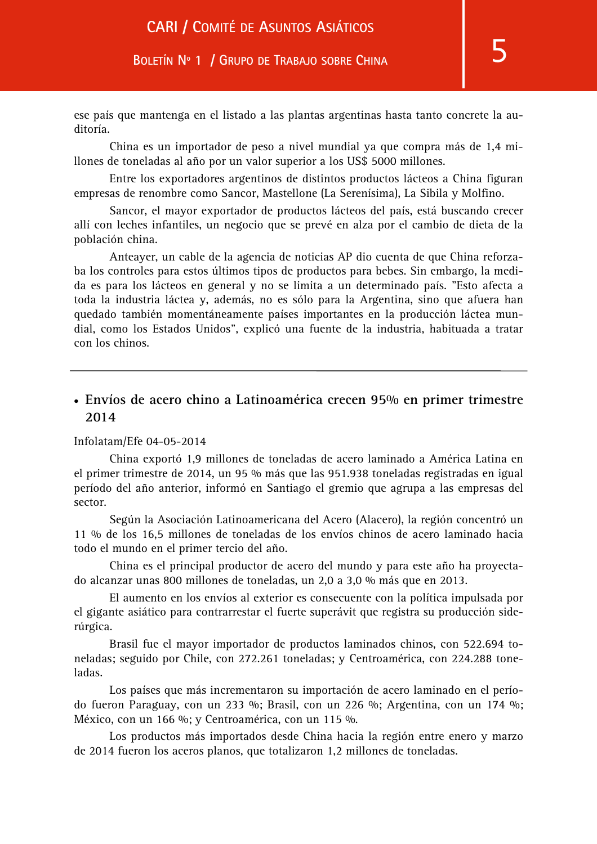ese país que mantenga en el listado a las plantas argentinas hasta tanto concrete la auditoría.

China es un importador de peso a nivel mundial ya que compra más de 1,4 millones de toneladas al año por un valor superior a los US\$ 5000 millones.

Entre los exportadores argentinos de distintos productos lácteos a China figuran empresas de renombre como Sancor, Mastellone (La Serenísima), La Sibila y Molfino.

Sancor, el mayor exportador de productos lácteos del país, está buscando crecer allí con leches infantiles, un negocio que se prevé en alza por el cambio de dieta de la población china.

Anteayer, un cable de la agencia de noticias AP dio cuenta de que China reforzaba los controles para estos últimos tipos de productos para bebes. Sin embargo, la medida es para los lácteos en general y no se limita a un determinado país. "Esto afecta a toda la industria láctea y, además, no es sólo para la Argentina, sino que afuera han quedado también momentáneamente países importantes en la producción láctea mundial, como los Estados Unidos", explicó una fuente de la industria, habituada a tratar con los chinos.

## • **Envíos de acero chino a Latinoamérica crecen 95% en primer trimestre 2014**

#### Infolatam/Efe 04-05-2014

China exportó 1,9 millones de toneladas de acero laminado a América Latina en el primer trimestre de 2014, un 95 % más que las 951.938 toneladas registradas en igual período del año anterior, informó en Santiago el gremio que agrupa a las empresas del sector.

Según la Asociación Latinoamericana del Acero (Alacero), la región concentró un 11 % de los 16,5 millones de toneladas de los envíos chinos de acero laminado hacia todo el mundo en el primer tercio del año.

China es el principal productor de acero del mundo y para este año ha proyectado alcanzar unas 800 millones de toneladas, un 2,0 a 3,0 % más que en 2013.

El aumento en los envíos al exterior es consecuente con la política impulsada por el gigante asiático para contrarrestar el fuerte superávit que registra su producción siderúrgica.

Brasil fue el mayor importador de productos laminados chinos, con 522.694 toneladas; seguido por Chile, con 272.261 toneladas; y Centroamérica, con 224.288 toneladas.

Los países que más incrementaron su importación de acero laminado en el período fueron Paraguay, con un 233 %; Brasil, con un 226 %; Argentina, con un 174 %; México, con un 166 %; y Centroamérica, con un 115 %.

Los productos más importados desde China hacia la región entre enero y marzo de 2014 fueron los aceros planos, que totalizaron 1,2 millones de toneladas.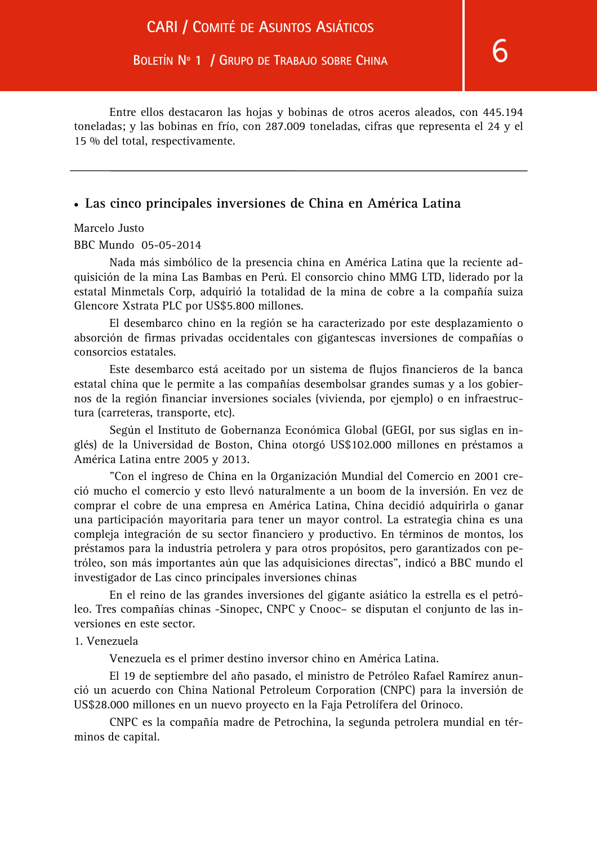Entre ellos destacaron las hojas y bobinas de otros aceros aleados, con 445.194 toneladas; y las bobinas en frío, con 287.009 toneladas, cifras que representa el 24 y el 15 % del total, respectivamente.

## • **Las cinco principales inversiones de China en América Latina**

Marcelo Justo

#### BBC Mundo 05-05-2014

Nada más simbólico de la presencia china en América Latina que la reciente adquisición de la mina Las Bambas en Perú. El consorcio chino MMG LTD, liderado por la estatal Minmetals Corp, adquirió la totalidad de la mina de cobre a la compañía suiza Glencore Xstrata PLC por US\$5.800 millones.

El desembarco chino en la región se ha caracterizado por este desplazamiento o absorción de firmas privadas occidentales con gigantescas inversiones de compañías o consorcios estatales.

Este desembarco está aceitado por un sistema de flujos financieros de la banca estatal china que le permite a las compañías desembolsar grandes sumas y a los gobiernos de la región financiar inversiones sociales (vivienda, por ejemplo) o en infraestructura (carreteras, transporte, etc).

Según el Instituto de Gobernanza Económica Global (GEGI, por sus siglas en inglés) de la Universidad de Boston, China otorgó US\$102.000 millones en préstamos a América Latina entre 2005 y 2013.

"Con el ingreso de China en la Organización Mundial del Comercio en 2001 creció mucho el comercio y esto llevó naturalmente a un boom de la inversión. En vez de comprar el cobre de una empresa en América Latina, China decidió adquirirla o ganar una participación mayoritaria para tener un mayor control. La estrategia china es una compleja integración de su sector financiero y productivo. En términos de montos, los préstamos para la industria petrolera y para otros propósitos, pero garantizados con petróleo, son más importantes aún que las adquisiciones directas", indicó a BBC mundo el investigador de Las cinco principales inversiones chinas

En el reino de las grandes inversiones del gigante asiático la estrella es el petróleo. Tres compañías chinas -Sinopec, CNPC y Cnooc– se disputan el conjunto de las inversiones en este sector.

## 1. Venezuela

Venezuela es el primer destino inversor chino en América Latina.

El 19 de septiembre del año pasado, el ministro de Petróleo Rafael Ramírez anunció un acuerdo con China National Petroleum Corporation (CNPC) para la inversión de US\$28.000 millones en un nuevo proyecto en la Faja Petrolífera del Orinoco.

CNPC es la compañía madre de Petrochina, la segunda petrolera mundial en términos de capital.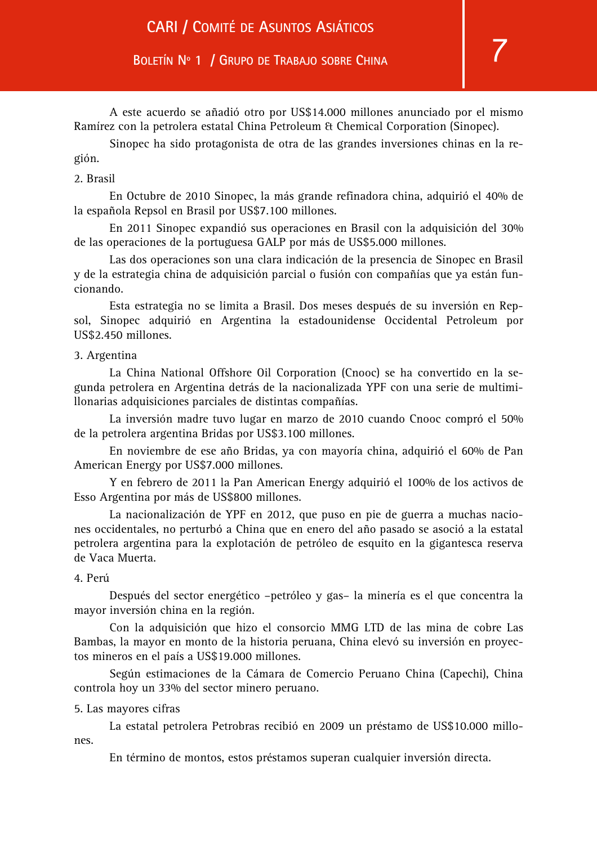A este acuerdo se añadió otro por US\$14.000 millones anunciado por el mismo Ramírez con la petrolera estatal China Petroleum & Chemical Corporation (Sinopec).

Sinopec ha sido protagonista de otra de las grandes inversiones chinas en la región.

#### 2. Brasil

En Octubre de 2010 Sinopec, la más grande refinadora china, adquirió el 40% de la española Repsol en Brasil por US\$7.100 millones.

En 2011 Sinopec expandió sus operaciones en Brasil con la adquisición del 30% de las operaciones de la portuguesa GALP por más de US\$5.000 millones.

Las dos operaciones son una clara indicación de la presencia de Sinopec en Brasil y de la estrategia china de adquisición parcial o fusión con compañías que ya están funcionando.

Esta estrategia no se limita a Brasil. Dos meses después de su inversión en Repsol, Sinopec adquirió en Argentina la estadounidense Occidental Petroleum por US\$2.450 millones.

#### 3. Argentina

La China National Offshore Oil Corporation (Cnooc) se ha convertido en la segunda petrolera en Argentina detrás de la nacionalizada YPF con una serie de multimillonarias adquisiciones parciales de distintas compañías.

La inversión madre tuvo lugar en marzo de 2010 cuando Cnooc compró el 50% de la petrolera argentina Bridas por US\$3.100 millones.

En noviembre de ese año Bridas, ya con mayoría china, adquirió el 60% de Pan American Energy por US\$7.000 millones.

Y en febrero de 2011 la Pan American Energy adquirió el 100% de los activos de Esso Argentina por más de US\$800 millones.

La nacionalización de YPF en 2012, que puso en pie de guerra a muchas naciones occidentales, no perturbó a China que en enero del año pasado se asoció a la estatal petrolera argentina para la explotación de petróleo de esquito en la gigantesca reserva de Vaca Muerta.

#### 4. Perú

Después del sector energético –petróleo y gas– la minería es el que concentra la mayor inversión china en la región.

Con la adquisición que hizo el consorcio MMG LTD de las mina de cobre Las Bambas, la mayor en monto de la historia peruana, China elevó su inversión en proyectos mineros en el país a US\$19.000 millones.

Según estimaciones de la Cámara de Comercio Peruano China (Capechi), China controla hoy un 33% del sector minero peruano.

#### 5. Las mayores cifras

La estatal petrolera Petrobras recibió en 2009 un préstamo de US\$10.000 millones.

En término de montos, estos préstamos superan cualquier inversión directa.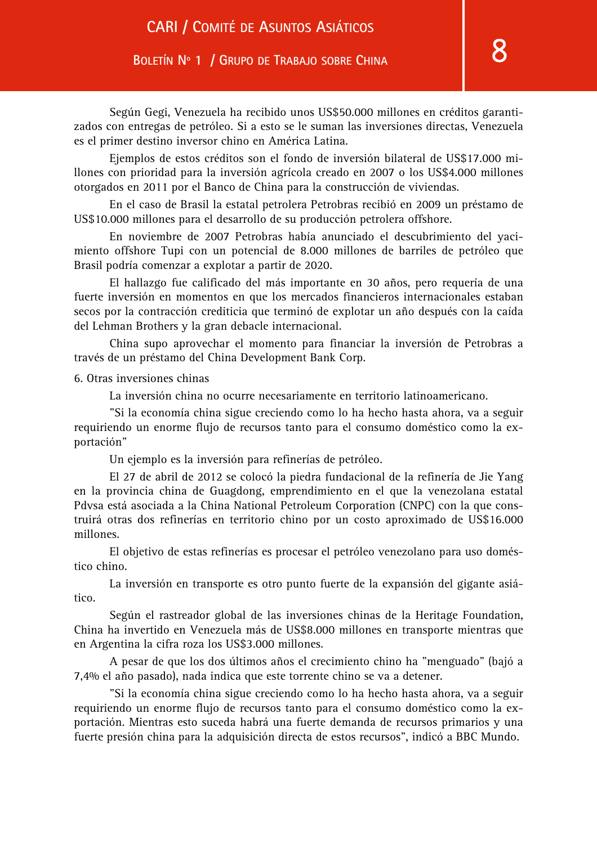Según Gegi, Venezuela ha recibido unos US\$50.000 millones en créditos garantizados con entregas de petróleo. Si a esto se le suman las inversiones directas, Venezuela es el primer destino inversor chino en América Latina.

Ejemplos de estos créditos son el fondo de inversión bilateral de US\$17.000 millones con prioridad para la inversión agrícola creado en 2007 o los US\$4.000 millones otorgados en 2011 por el Banco de China para la construcción de viviendas.

En el caso de Brasil la estatal petrolera Petrobras recibió en 2009 un préstamo de US\$10.000 millones para el desarrollo de su producción petrolera offshore.

En noviembre de 2007 Petrobras había anunciado el descubrimiento del yacimiento offshore Tupi con un potencial de 8.000 millones de barriles de petróleo que Brasil podría comenzar a explotar a partir de 2020.

El hallazgo fue calificado del más importante en 30 años, pero requería de una fuerte inversión en momentos en que los mercados financieros internacionales estaban secos por la contracción crediticia que terminó de explotar un año después con la caída del Lehman Brothers y la gran debacle internacional.

China supo aprovechar el momento para financiar la inversión de Petrobras a través de un préstamo del China Development Bank Corp.

6. Otras inversiones chinas

La inversión china no ocurre necesariamente en territorio latinoamericano.

"Si la economía china sigue creciendo como lo ha hecho hasta ahora, va a seguir requiriendo un enorme flujo de recursos tanto para el consumo doméstico como la exportación"

Un ejemplo es la inversión para refinerías de petróleo.

El 27 de abril de 2012 se colocó la piedra fundacional de la refinería de Jie Yang en la provincia china de Guagdong, emprendimiento en el que la venezolana estatal Pdvsa está asociada a la China National Petroleum Corporation (CNPC) con la que construirá otras dos refinerías en territorio chino por un costo aproximado de US\$16.000 millones.

El objetivo de estas refinerías es procesar el petróleo venezolano para uso doméstico chino.

La inversión en transporte es otro punto fuerte de la expansión del gigante asiático.

Según el rastreador global de las inversiones chinas de la Heritage Foundation, China ha invertido en Venezuela más de US\$8.000 millones en transporte mientras que en Argentina la cifra roza los US\$3.000 millones.

A pesar de que los dos últimos años el crecimiento chino ha "menguado" (bajó a 7,4% el año pasado), nada indica que este torrente chino se va a detener.

"Si la economía china sigue creciendo como lo ha hecho hasta ahora, va a seguir requiriendo un enorme flujo de recursos tanto para el consumo doméstico como la exportación. Mientras esto suceda habrá una fuerte demanda de recursos primarios y una fuerte presión china para la adquisición directa de estos recursos", indicó a BBC Mundo.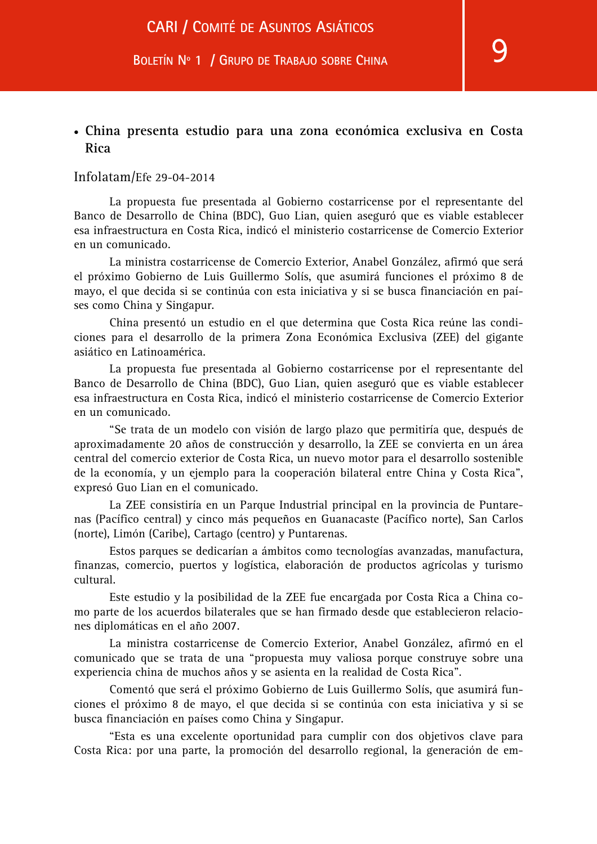## • **China presenta estudio para una zona económica exclusiva en Costa Rica**

## Infolatam/Efe 29-04-2014

La propuesta fue presentada al Gobierno costarricense por el representante del Banco de Desarrollo de China (BDC), Guo Lian, quien aseguró que es viable establecer esa infraestructura en Costa Rica, indicó el ministerio costarricense de Comercio Exterior en un comunicado.

La ministra costarricense de Comercio Exterior, Anabel González, afirmó que será el próximo Gobierno de Luis Guillermo Solís, que asumirá funciones el próximo 8 de mayo, el que decida si se continúa con esta iniciativa y si se busca financiación en países como China y Singapur.

China presentó un estudio en el que determina que Costa Rica reúne las condiciones para el desarrollo de la primera Zona Económica Exclusiva (ZEE) del gigante asiático en Latinoamérica.

La propuesta fue presentada al Gobierno costarricense por el representante del Banco de Desarrollo de China (BDC), Guo Lian, quien aseguró que es viable establecer esa infraestructura en Costa Rica, indicó el ministerio costarricense de Comercio Exterior en un comunicado.

"Se trata de un modelo con visión de largo plazo que permitiría que, después de aproximadamente 20 años de construcción y desarrollo, la ZEE se convierta en un área central del comercio exterior de Costa Rica, un nuevo motor para el desarrollo sostenible de la economía, y un ejemplo para la cooperación bilateral entre China y Costa Rica", expresó Guo Lian en el comunicado.

La ZEE consistiría en un Parque Industrial principal en la provincia de Puntarenas (Pacífico central) y cinco más pequeños en Guanacaste (Pacífico norte), San Carlos (norte), Limón (Caribe), Cartago (centro) y Puntarenas.

Estos parques se dedicarían a ámbitos como tecnologías avanzadas, manufactura, finanzas, comercio, puertos y logística, elaboración de productos agrícolas y turismo cultural.

Este estudio y la posibilidad de la ZEE fue encargada por Costa Rica a China como parte de los acuerdos bilaterales que se han firmado desde que establecieron relaciones diplomáticas en el año 2007.

La ministra costarricense de Comercio Exterior, Anabel González, afirmó en el comunicado que se trata de una "propuesta muy valiosa porque construye sobre una experiencia china de muchos años y se asienta en la realidad de Costa Rica".

Comentó que será el próximo Gobierno de Luis Guillermo Solís, que asumirá funciones el próximo 8 de mayo, el que decida si se continúa con esta iniciativa y si se busca financiación en países como China y Singapur.

"Esta es una excelente oportunidad para cumplir con dos objetivos clave para Costa Rica: por una parte, la promoción del desarrollo regional, la generación de em-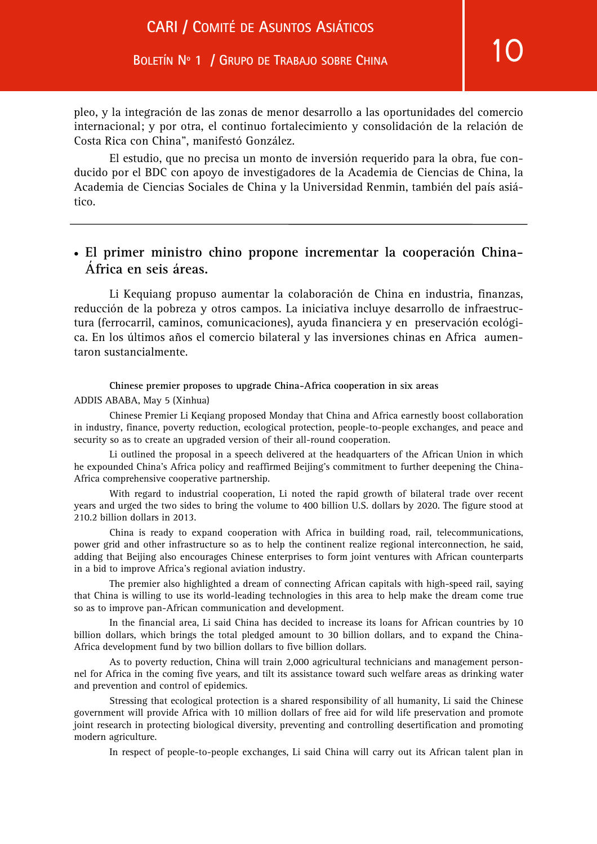pleo, y la integración de las zonas de menor desarrollo a las oportunidades del comercio internacional; y por otra, el continuo fortalecimiento y consolidación de la relación de Costa Rica con China", manifestó González.

El estudio, que no precisa un monto de inversión requerido para la obra, fue conducido por el BDC con apoyo de investigadores de la Academia de Ciencias de China, la Academia de Ciencias Sociales de China y la Universidad Renmin, también del país asiático.

## • **El primer ministro chino propone incrementar la cooperación China-África en seis áreas.**

Li Kequiang propuso aumentar la colaboración de China en industria, finanzas, reducción de la pobreza y otros campos. La iniciativa incluye desarrollo de infraestructura (ferrocarril, caminos, comunicaciones), ayuda financiera y en preservación ecológica. En los últimos años el comercio bilateral y las inversiones chinas en Africa aumentaron sustancialmente.

**Chinese premier proposes to upgrade China-Africa cooperation in six areas**  ADDIS ABABA, May 5 (Xinhua)

Chinese Premier Li Keqiang proposed Monday that China and Africa earnestly boost collaboration in industry, finance, poverty reduction, ecological protection, people-to-people exchanges, and peace and security so as to create an upgraded version of their all-round cooperation.

Li outlined the proposal in a speech delivered at the headquarters of the African Union in which he expounded China's Africa policy and reaffirmed Beijing's commitment to further deepening the China-Africa comprehensive cooperative partnership.

With regard to industrial cooperation, Li noted the rapid growth of bilateral trade over recent years and urged the two sides to bring the volume to 400 billion U.S. dollars by 2020. The figure stood at 210.2 billion dollars in 2013.

China is ready to expand cooperation with Africa in building road, rail, telecommunications, power grid and other infrastructure so as to help the continent realize regional interconnection, he said, adding that Beijing also encourages Chinese enterprises to form joint ventures with African counterparts in a bid to improve Africa's regional aviation industry.

The premier also highlighted a dream of connecting African capitals with high-speed rail, saying that China is willing to use its world-leading technologies in this area to help make the dream come true so as to improve pan-African communication and development.

In the financial area, Li said China has decided to increase its loans for African countries by 10 billion dollars, which brings the total pledged amount to 30 billion dollars, and to expand the China-Africa development fund by two billion dollars to five billion dollars.

As to poverty reduction, China will train 2,000 agricultural technicians and management personnel for Africa in the coming five years, and tilt its assistance toward such welfare areas as drinking water and prevention and control of epidemics.

Stressing that ecological protection is a shared responsibility of all humanity, Li said the Chinese government will provide Africa with 10 million dollars of free aid for wild life preservation and promote joint research in protecting biological diversity, preventing and controlling desertification and promoting modern agriculture.

In respect of people-to-people exchanges, Li said China will carry out its African talent plan in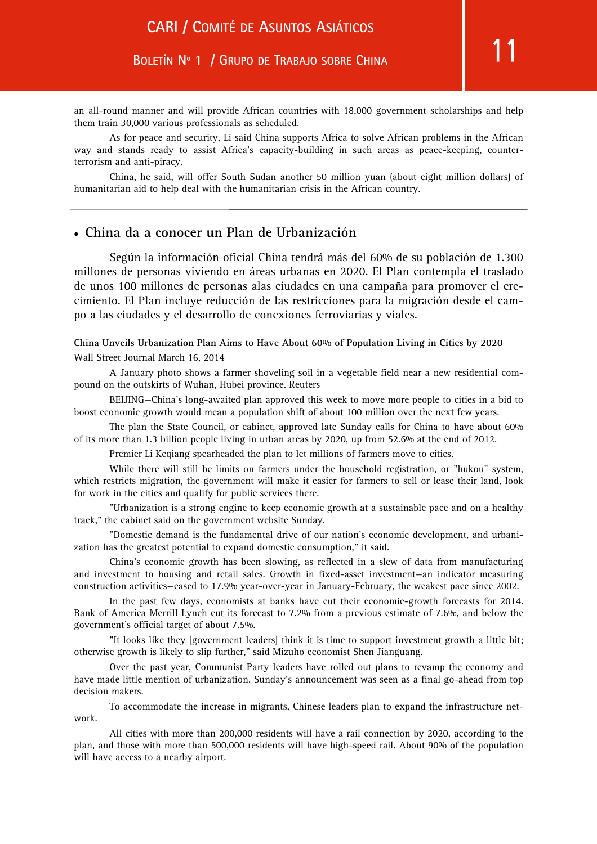an all-round manner and will provide African countries with 18,000 government scholarships and help them train 30,000 various professionals as scheduled.

As for peace and security, Li said China supports Africa to solve African problems in the African way and stands ready to assist Africa's capacity-building in such areas as peace-keeping, counterterrorism and anti-piracy.

China, he said, will offer South Sudan another 50 million yuan (about eight million dollars) of humanitarian aid to help deal with the humanitarian crisis in the African country.

## • **China da a conocer un Plan de Urbanización**

Según la información oficial China tendrá más del 60% de su población de 1.300 millones de personas viviendo en áreas urbanas en 2020. El Plan contempla el traslado de unos 100 millones de personas alas ciudades en una campaña para promover el crecimiento. El Plan incluye reducción de las restricciones para la migración desde el campo a las ciudades y el desarrollo de conexiones ferroviarias y viales.

**China Unveils Urbanization Plan Aims to Have About 60% of Population Living in Cities by 2020**  Wall Street Journal March 16, 2014

A January photo shows a farmer shoveling soil in a vegetable field near a new residential compound on the outskirts of Wuhan, Hubei province. Reuters

BEIJING—China's long-awaited plan approved this week to move more people to cities in a bid to boost economic growth would mean a population shift of about 100 million over the next few years.

The plan the State Council, or cabinet, approved late Sunday calls for China to have about 60% of its more than 1.3 billion people living in urban areas by 2020, up from 52.6% at the end of 2012.

Premier Li Keqiang spearheaded the plan to let millions of farmers move to cities.

While there will still be limits on farmers under the household registration, or "hukou" system, which restricts migration, the government will make it easier for farmers to sell or lease their land, look for work in the cities and qualify for public services there.

"Urbanization is a strong engine to keep economic growth at a sustainable pace and on a healthy track," the cabinet said on the government website Sunday.

"Domestic demand is the fundamental drive of our nation's economic development, and urbanization has the greatest potential to expand domestic consumption," it said.

China's economic growth has been slowing, as reflected in a slew of data from manufacturing and investment to housing and retail sales. Growth in fixed-asset investment—an indicator measuring construction activities—eased to 17.9% year-over-year in January-February, the weakest pace since 2002.

In the past few days, economists at banks have cut their economic-growth forecasts for 2014. Bank of America Merrill Lynch cut its forecast to 7.2% from a previous estimate of 7.6%, and below the government's official target of about 7.5%.

"It looks like they [government leaders] think it is time to support investment growth a little bit; otherwise growth is likely to slip further," said Mizuho economist Shen Jianguang.

Over the past year, Communist Party leaders have rolled out plans to revamp the economy and have made little mention of urbanization. Sunday's announcement was seen as a final go-ahead from top decision makers.

To accommodate the increase in migrants, Chinese leaders plan to expand the infrastructure network.

All cities with more than 200,000 residents will have a rail connection by 2020, according to the plan, and those with more than 500,000 residents will have high-speed rail. About 90% of the population will have access to a nearby airport.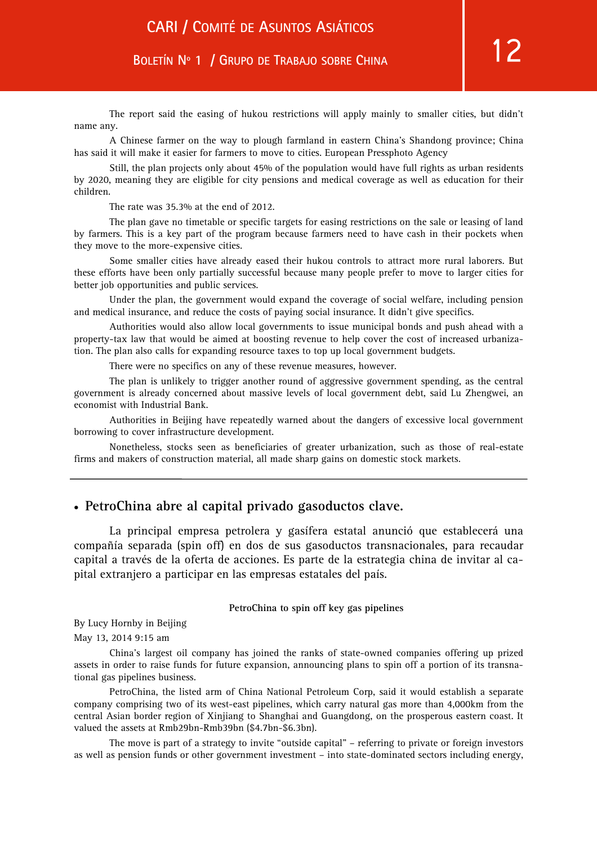name any.

A Chinese farmer on the way to plough farmland in eastern China's Shandong province; China has said it will make it easier for farmers to move to cities. European Pressphoto Agency

Still, the plan projects only about 45% of the population would have full rights as urban residents by 2020, meaning they are eligible for city pensions and medical coverage as well as education for their children.

The rate was 35.3% at the end of 2012.

The plan gave no timetable or specific targets for easing restrictions on the sale or leasing of land by farmers. This is a key part of the program because farmers need to have cash in their pockets when they move to the more-expensive cities.

Some smaller cities have already eased their hukou controls to attract more rural laborers. But these efforts have been only partially successful because many people prefer to move to larger cities for better job opportunities and public services.

Under the plan, the government would expand the coverage of social welfare, including pension and medical insurance, and reduce the costs of paying social insurance. It didn't give specifics.

Authorities would also allow local governments to issue municipal bonds and push ahead with a property-tax law that would be aimed at boosting revenue to help cover the cost of increased urbanization. The plan also calls for expanding resource taxes to top up local government budgets.

There were no specifics on any of these revenue measures, however.

The plan is unlikely to trigger another round of aggressive government spending, as the central government is already concerned about massive levels of local government debt, said Lu Zhengwei, an economist with Industrial Bank.

Authorities in Beijing have repeatedly warned about the dangers of excessive local government borrowing to cover infrastructure development.

Nonetheless, stocks seen as beneficiaries of greater urbanization, such as those of real-estate firms and makers of construction material, all made sharp gains on domestic stock markets.

#### • **PetroChina abre al capital privado gasoductos clave.**

La principal empresa petrolera y gasífera estatal anunció que establecerá una compañía separada (spin off) en dos de sus gasoductos transnacionales, para recaudar capital a través de la oferta de acciones. Es parte de la estrategia china de invitar al capital extranjero a participar en las empresas estatales del país.

#### **PetroChina to spin off key gas pipelines**

By Lucy Hornby in Beijing

May 13, 2014 9:15 am

China's largest oil company has joined the ranks of state-owned companies offering up prized assets in order to raise funds for future expansion, announcing plans to spin off a portion of its transnational gas pipelines business.

PetroChina, the listed arm of China National Petroleum Corp, said it would establish a separate company comprising two of its west-east pipelines, which carry natural gas more than 4,000km from the central Asian border region of Xinjiang to Shanghai and Guangdong, on the prosperous eastern coast. It valued the assets at Rmb29bn-Rmb39bn (\$4.7bn-\$6.3bn).

The move is part of a strategy to invite "outside capital" – referring to private or foreign investors as well as pension funds or other government investment – into state-dominated sectors including energy,